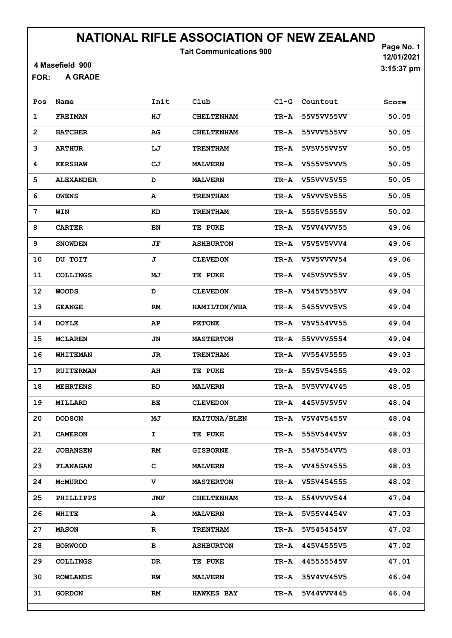Tait Communications 900

4 Masefield 900

A GRADE FOR:

| Pos          | Name             | Init      | Club                | $C1-G$ | Countout   | Score |
|--------------|------------------|-----------|---------------------|--------|------------|-------|
| $\mathbf{1}$ | <b>FREIMAN</b>   | ΗJ        | <b>CHELTENHAM</b>   | TR-A   | 55V5VV55VV | 50.05 |
| $\mathbf{2}$ | <b>HATCHER</b>   | AG        | <b>CHELTENHAM</b>   | TR-A   | 55VVV555VV | 50.05 |
| 3            | <b>ARTHUR</b>    | LJ        | <b>TRENTHAM</b>     | TR-A   | 5V5V55VV5V | 50.05 |
| 4            | <b>KERSHAW</b>   | CJ        | <b>MALVERN</b>      | TR-A   | V555V5VVV5 | 50.05 |
| 5            | <b>ALEXANDER</b> | D         | <b>MALVERN</b>      | TR-A   | V55VVV5V55 | 50.05 |
| 6            | <b>OWENS</b>     | А         | <b>TRENTHAM</b>     | TR-A   | V5VVV5V555 | 50.05 |
| 7            | WIN              | KD        | <b>TRENTHAM</b>     | TR-A   | 5555V5555V | 50.02 |
| 8            | <b>CARTER</b>    | BN        | TE PUKE             | TR-A   | V5VV4VVV55 | 49.06 |
| 9            | <b>SNOWDEN</b>   | JF        | <b>ASHBURTON</b>    | TR-A   | V5V5V5VVV4 | 49.06 |
| 10           | DU TOIT          | J         | <b>CLEVEDON</b>     | TR-A   | V5V5VVVV54 | 49.06 |
| 11           | <b>COLLINGS</b>  | MJ        | <b>TE PUKE</b>      | TR-A   | V45V5VV55V | 49.05 |
| 12           | <b>WOODS</b>     | D         | <b>CLEVEDON</b>     | TR-A   | V545V555VV | 49.04 |
| 13           | <b>GEANGE</b>    | RM        | <b>HAMILTON/WHA</b> | TR-A   | 5455VVV5V5 | 49.04 |
| 14           | <b>DOYLE</b>     | AP        | <b>PETONE</b>       | TR-A   | V5V554VV55 | 49.04 |
| 15           | <b>MCLAREN</b>   | JN        | <b>MASTERTON</b>    | TR-A   | 55VVVV5554 | 49.04 |
| 16           | WHITEMAN         | JR        | <b>TRENTHAM</b>     | TR-A   | VV554V5555 | 49.03 |
| 17           | <b>RUITERMAN</b> | AH        | <b>TE PUKE</b>      | TR-A   | 55V5V54555 | 49.02 |
| 18           | <b>MEHRTENS</b>  | <b>BD</b> | <b>MALVERN</b>      | TR-A   | 5V5VVV4V45 | 48.05 |
| 19           | MILLARD          | BE        | <b>CLEVEDON</b>     | TR-A   | 445V5V5V5V | 48.04 |
| 20           | <b>DODSON</b>    | MJ        | KAITUNA/BLEN        | TR-A   | V5V4V5455V | 48.04 |
| 21           | <b>CAMERON</b>   | I         | TE PUKE             | TR-A   | 555V544V5V | 48.03 |
| 22           | <b>JOHANSEN</b>  | RM        | <b>GISBORNE</b>     | TR-A   | 554V554VV5 | 48.03 |
| 23           | <b>FLANAGAN</b>  | c         | <b>MALVERN</b>      | TR-A   | VV455V4555 | 48.03 |
| 24           | MCMURDO          | v         | <b>MASTERTON</b>    | TR-A   | V55V454555 | 48.02 |
| 25           | <b>PHILLIPPS</b> | JMF       | <b>CHELTENHAM</b>   | TR-A   | 554VVVV544 | 47.04 |
| 26           | WHITE            | A         | <b>MALVERN</b>      | TR-A   | 5V55V4454V | 47.03 |
| 27           | <b>MASON</b>     | R         | <b>TRENTHAM</b>     | TR-A   | 5V5454545V | 47.02 |
| 28           | <b>HORWOOD</b>   | в         | <b>ASHBURTON</b>    | TR-A   | 445V4555V5 | 47.02 |
| 29           | <b>COLLINGS</b>  | DR        | <b>TE PUKE</b>      | TR-A   | 445555545V | 47.01 |
| 30           | <b>ROWLANDS</b>  | RW        | <b>MALVERN</b>      | TR-A   | 35V4VV45V5 | 46.04 |
| 31           | <b>GORDON</b>    | RM        | <b>HAWKES BAY</b>   | TR-A   | 5V44VVV445 | 46.04 |
|              |                  |           |                     |        |            |       |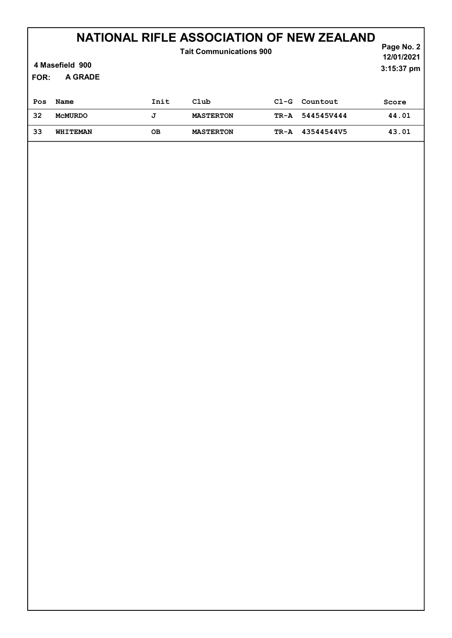| <b>Tait Communications 900</b><br>4 Masefield 900<br>A GRADE<br><b>FOR:</b> |                |      |                  |        |            | Page No. 2<br>12/01/2021<br>3:15:37 pm |
|-----------------------------------------------------------------------------|----------------|------|------------------|--------|------------|----------------------------------------|
| Pos                                                                         | Name           | Init | Club             | $C1-G$ | Countout   | Score                                  |
| 32                                                                          | <b>MCMURDO</b> | J    | <b>MASTERTON</b> | TR-A   | 5445457444 | 44.01                                  |
| 33                                                                          | WHITEMAN       | OВ   | <b>MASTERTON</b> | TR-A   | 43544544V5 | 43.01                                  |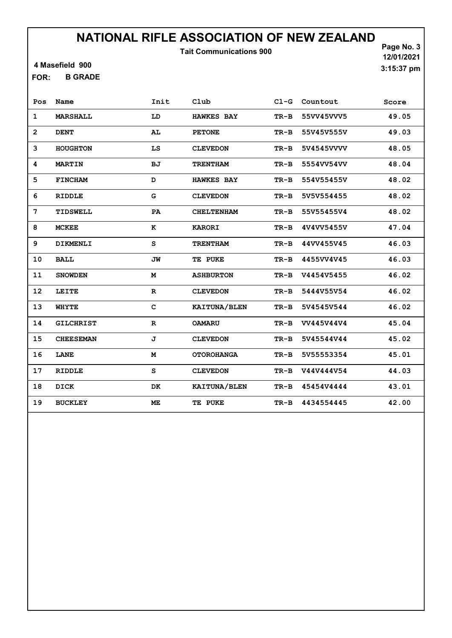Tait Communications 900

4 Masefield 900

B GRADE FOR:

Page No. 3 12/01/2021 3:15:37 pm

| Pos            | Name             | Init         | Club              | $C1-G$ | Countout   | Score |
|----------------|------------------|--------------|-------------------|--------|------------|-------|
| $\mathbf{1}$   | <b>MARSHALL</b>  | LD           | <b>HAWKES BAY</b> | $TR-B$ | 55VV45VVV5 | 49.05 |
| $\overline{2}$ | <b>DENT</b>      | AL           | <b>PETONE</b>     | TR-B   | 55V45V555V | 49.03 |
| 3              | <b>HOUGHTON</b>  | LS           | <b>CLEVEDON</b>   | TR-B   | 5V4545VVVV | 48.05 |
| 4              | <b>MARTIN</b>    | <b>BJ</b>    | <b>TRENTHAM</b>   | $TR-B$ | 5554VV54VV | 48.04 |
| 5              | <b>FINCHAM</b>   | D            | <b>HAWKES BAY</b> | $TR-B$ | 554V55455V | 48.02 |
| 6              | <b>RIDDLE</b>    | G            | <b>CLEVEDON</b>   | $TR-B$ | 5V5V554455 | 48.02 |
| 7              | TIDSWELL         | PA           | <b>CHELTENHAM</b> | $TR-B$ | 55V55455V4 | 48.02 |
| 8              | <b>MCKEE</b>     | к            | <b>KARORI</b>     | $TR-B$ | 4V4VV5455V | 47.04 |
| 9              | <b>DIKMENLI</b>  | S            | <b>TRENTHAM</b>   | $TR-B$ | 44VV455V45 | 46.03 |
| 10             | <b>BALL</b>      | JW           | TE PUKE           | TR-B   | 4455VV4V45 | 46.03 |
| 11             | <b>SNOWDEN</b>   | M            | <b>ASHBURTON</b>  | $TR-B$ | V4454V5455 | 46.02 |
| 12             | LEITE            | $\mathbf{R}$ | <b>CLEVEDON</b>   | $TR-B$ | 5444V55V54 | 46.02 |
| 13             | <b>WHYTE</b>     | $\mathbf C$  | KAITUNA/BLEN      | $TR-B$ | 5V4545V544 | 46.02 |
| 14             | <b>GILCHRIST</b> | $\mathbf R$  | <b>OAMARU</b>     | $TR-B$ | VV445V44V4 | 45.04 |
| 15             | <b>CHEESEMAN</b> | J            | <b>CLEVEDON</b>   | $TR-B$ | 5V45544V44 | 45.02 |
| 16             | LANE             | M            | <b>OTOROHANGA</b> | $TR-B$ | 5V55553354 | 45.01 |
| 17             | <b>RIDDLE</b>    | S            | <b>CLEVEDON</b>   | $TR-B$ | V44V444V54 | 44.03 |
| 18             | <b>DICK</b>      | DK           | KAITUNA/BLEN      | $TR-B$ | 45454V4444 | 43.01 |
| 19             | <b>BUCKLEY</b>   | ME           | TE PUKE           | $TR-B$ | 4434554445 | 42.00 |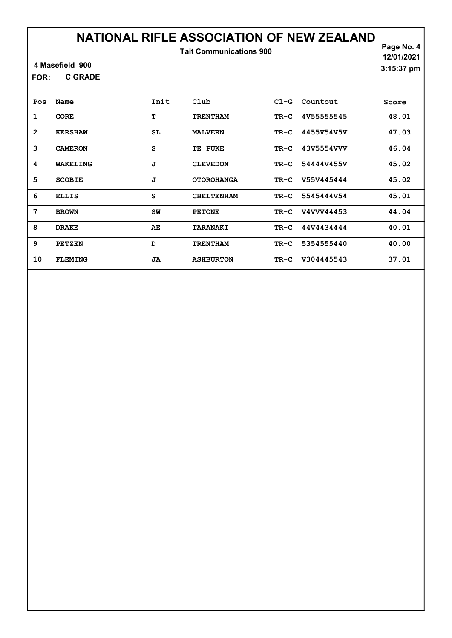Tait Communications 900

4 Masefield 900

C GRADE FOR:

Page No. 4 12/01/2021 3:15:37 pm

| Pos            | Name           | Init | Club              | $C1-G$ | Countout   | Score |
|----------------|----------------|------|-------------------|--------|------------|-------|
| 1              | <b>GORE</b>    | т    | <b>TRENTHAM</b>   | TR-C   | 4V55555545 | 48.01 |
| $\overline{2}$ | <b>KERSHAW</b> | SL   | <b>MALVERN</b>    | TR-C   | 4455V54V5V | 47.03 |
| 3              | <b>CAMERON</b> | S    | TE PUKE           | TR-C   | 43V5554VVV | 46.04 |
| 4              | WAKELING       | J    | <b>CLEVEDON</b>   | TR-C   | 54444V455V | 45.02 |
| 5              | <b>SCOBIE</b>  | J    | <b>OTOROHANGA</b> | TR-C   | V55V445444 | 45.02 |
| 6              | <b>ELLIS</b>   | S    | <b>CHELTENHAM</b> | TR-C   | 5545444V54 | 45.01 |
| 7              | <b>BROWN</b>   | SW   | <b>PETONE</b>     | TR-C   | V4VVV44453 | 44.04 |
| 8              | <b>DRAKE</b>   | AE   | <b>TARANAKI</b>   | TR-C   | 44V4434444 | 40.01 |
| 9              | <b>PETZEN</b>  | D    | <b>TRENTHAM</b>   | TR-C   | 5354555440 | 40.00 |
| 10             | <b>FLEMING</b> | JA   | <b>ASHBURTON</b>  | TR-C   | V304445543 | 37.01 |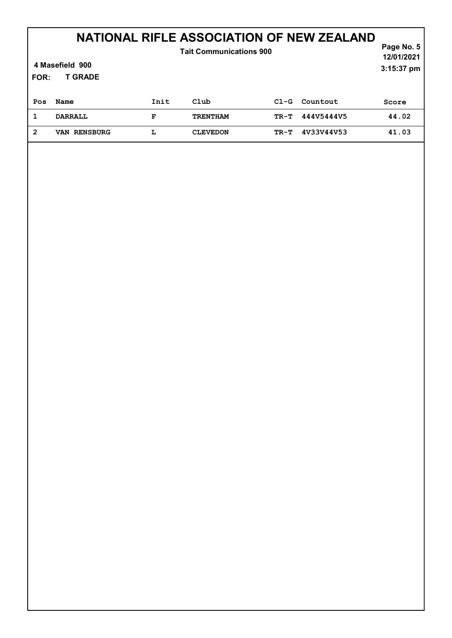| <b>Tait Communications 900</b><br>4 Masefield 900<br><b>T GRADE</b><br>FOR: |                     |      |                 |        |            | Page No. 5<br>12/01/2021<br>3:15:37 pm |
|-----------------------------------------------------------------------------|---------------------|------|-----------------|--------|------------|----------------------------------------|
| Pos                                                                         | Name                | Init | Club            | $C1-G$ | Countout   | Score                                  |
| 1                                                                           | <b>DARRALL</b>      | F    | <b>TRENTHAM</b> | TR-T   | 444V5444V5 | 44.02                                  |
| $\overline{2}$                                                              | <b>VAN RENSBURG</b> | L    | <b>CLEVEDON</b> | TR-T   | 4V33V44V53 | 41.03                                  |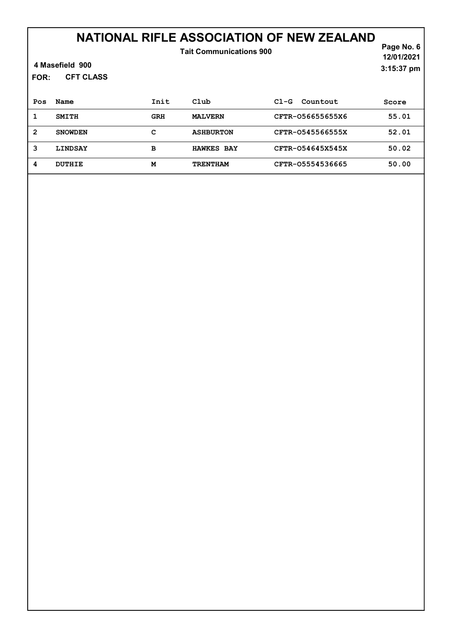| <b>Tait Communications 900</b><br>4 Masefield 900<br><b>CFT CLASS</b><br>FOR: |                |            |                   |                    |       |  |
|-------------------------------------------------------------------------------|----------------|------------|-------------------|--------------------|-------|--|
| Pos                                                                           | Name           | Init       | Club              | Countout<br>$C1-G$ | Score |  |
| 1                                                                             | <b>SMITH</b>   | <b>GRH</b> | <b>MALVERN</b>    | CFTR-056655655X6   | 55.01 |  |
| $\overline{2}$                                                                | <b>SNOWDEN</b> | c          | <b>ASHBURTON</b>  | CFTR-0545566555X   | 52.01 |  |
| 3                                                                             | LINDSAY        | в          | <b>HAWKES BAY</b> | CFTR-054645X545X   | 50.02 |  |
| 4                                                                             | <b>DUTHIE</b>  | M          | <b>TRENTHAM</b>   | CFTR-05554536665   | 50.00 |  |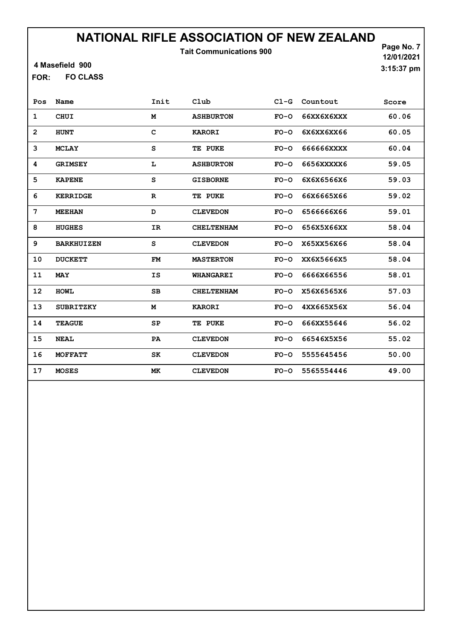Tait Communications 900

4 Masefield 900

FO CLASS FOR:

Page No. 7 12/01/2021 3:15:37 pm

| Pos            | Name              | Init        | Club              | $C1-G$ | Countout   | Score |
|----------------|-------------------|-------------|-------------------|--------|------------|-------|
| $\mathbf 1$    | <b>CHUI</b>       | M           | <b>ASHBURTON</b>  | $FO-O$ | 66XX6X6XXX | 60.06 |
| $\overline{2}$ | <b>HUNT</b>       | C           | <b>KARORI</b>     | $FO-O$ | 6X6XX6XX66 | 60.05 |
| 3              | <b>MCLAY</b>      | S           | TE PUKE           | $FO-O$ | 666666XXXX | 60.04 |
| 4              | <b>GRIMSEY</b>    | L           | <b>ASHBURTON</b>  | $FO-O$ | 6656XXXXX6 | 59.05 |
| 5              | <b>KAPENE</b>     | S           | <b>GISBORNE</b>   | $FO-O$ | 6X6X6566X6 | 59.03 |
| 6              | <b>KERRIDGE</b>   | $\mathbf R$ | TE PUKE           | $FO-O$ | 66X6665X66 | 59.02 |
| 7              | <b>MEEHAN</b>     | D           | <b>CLEVEDON</b>   | $FO-O$ | 6566666X66 | 59.01 |
| 8              | <b>HUGHES</b>     | IR          | <b>CHELTENHAM</b> | $FO-O$ | 656X5X66XX | 58.04 |
| 9              | <b>BARKHUIZEN</b> | S           | <b>CLEVEDON</b>   | $FO-O$ | X65XX56X66 | 58.04 |
| 10             | <b>DUCKETT</b>    | <b>FM</b>   | <b>MASTERTON</b>  | $FO-O$ | XX6X5666X5 | 58.04 |
| 11             | <b>MAY</b>        | <b>IS</b>   | <b>WHANGAREI</b>  | $FO-O$ | 6666X66556 | 58.01 |
| 12             | <b>HOWL</b>       | SB          | <b>CHELTENHAM</b> | $FO-O$ | X56X6565X6 | 57.03 |
| 13             | <b>SUBRITZKY</b>  | M           | <b>KARORI</b>     | $FO-O$ | 4XX665X56X | 56.04 |
| 14             | <b>TEAGUE</b>     | SP          | TE PUKE           | $FO-O$ | 666XX55646 | 56.02 |
| 15             | <b>NEAL</b>       | PA          | <b>CLEVEDON</b>   | $FO-O$ | 66546X5X56 | 55.02 |
| 16             | <b>MOFFATT</b>    | SK          | <b>CLEVEDON</b>   | $FO-O$ | 5555645456 | 50.00 |
| 17             | <b>MOSES</b>      | MK          | <b>CLEVEDON</b>   | $FO-O$ | 5565554446 | 49.00 |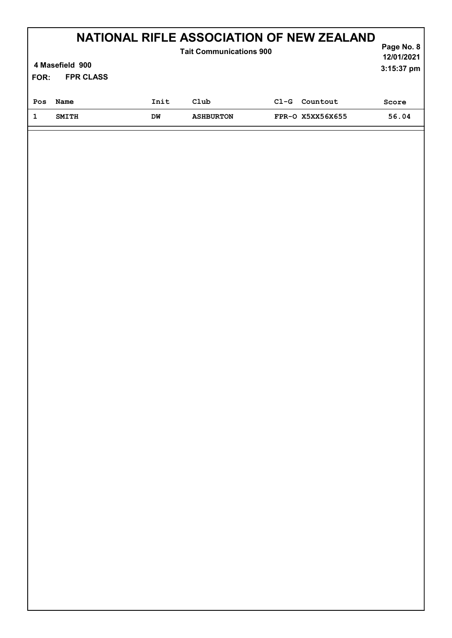| FOR: | NATIONAL RIFLE ASSOCIATION OF NEW ZEALAND<br><b>Tait Communications 900</b><br>4 Masefield 900<br><b>FPR CLASS</b> |      |                  |        |                  |       |
|------|--------------------------------------------------------------------------------------------------------------------|------|------------------|--------|------------------|-------|
| Pos  | Name                                                                                                               | Init | Club             | $C1-G$ | Countout         | Score |
| 1    | <b>SMITH</b>                                                                                                       | DM   | <b>ASHBURTON</b> |        | FPR-0 X5XX56X655 | 56.04 |
|      |                                                                                                                    |      |                  |        |                  |       |